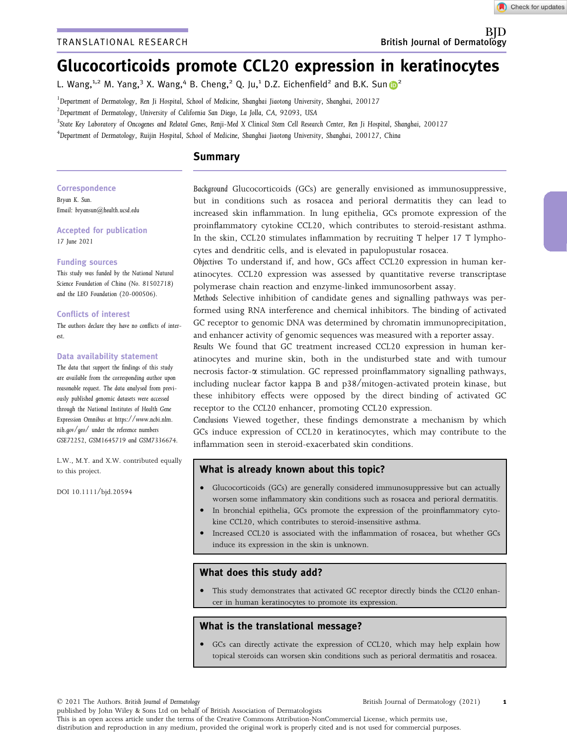# Glucocorticoids promote CCL20 expression in keratinocytes

L. Wa[n](https://orcid.org/0000-0002-0740-0125)g,<sup>1,2</sup> M. Yang,<sup>3</sup> X. Wang,<sup>4</sup> B. Cheng,<sup>2</sup> Q. Ju,<sup>1</sup> D.Z. Eichenfield<sup>2</sup> and B.K. Sun  $\mathbb{D}^2$ 

1 Department of Dermatology, Ren Ji Hospital, School of Medicine, Shanghai Jiaotong University, Shanghai, 200127

 $^{2}$ Department of Dermatology, University of California San Diego, La Jolla, CA, 92093, USA

<sup>3</sup>State Key Laboratory of Oncogenes and Related Genes, Renji-Med X Clinical Stem Cell Research Center, Ren Ji Hospital, Shanghai, 200127

4 Department of Dermatology, Ruijin Hospital, School of Medicine, Shanghai Jiaotong University, Shanghai, 200127, China

# Summary

#### **Correspondence**

Bryan K. Sun. Email: [bryansun@health.ucsd.edu](mailto:)

Accepted for publication 17 June 2021

#### Funding sources

This study was funded by the National Natural Science Foundation of China (No. 81502718) and the LEO Foundation (20-000506).

#### Conflicts of interest

The authors declare they have no conflicts of interest.

#### Data availability statement

The data that support the findings of this study are available from the corresponding author upon reasonable request. The data analysed from previously published genomic datasets were accessed through the National Institutes of Health Gene Expression Omnibus at [https://www.ncbi.nlm.](https://www.ncbi.nlm.nih.gov/geo/) [nih.gov/geo/](https://www.ncbi.nlm.nih.gov/geo/) under the reference numbers [GSE72252,](http://www.ncbi.nlm.nih.gov/geo/query/acc.cgi?acc=GSE72252) [GSM1645719](http://www.ncbi.nlm.nih.gov/geo/query/acc.cgi?acc=GSM1645719) and [GSM7336674](http://www.ncbi.nlm.nih.gov/geo/query/acc.cgi?acc=GSM7336674).

L.W., M.Y. and X.W. contributed equally to this project.

DOI 10.1111/bjd.20594

Background Glucocorticoids (GCs) are generally envisioned as immunosuppressive, but in conditions such as rosacea and perioral dermatitis they can lead to increased skin inflammation. In lung epithelia, GCs promote expression of the proinflammatory cytokine CCL20, which contributes to steroid-resistant asthma. In the skin, CCL20 stimulates inflammation by recruiting T helper 17 T lymphocytes and dendritic cells, and is elevated in papulopustular rosacea.

Objectives To understand if, and how, GCs affect CCL20 expression in human keratinocytes. CCL20 expression was assessed by quantitative reverse transcriptase polymerase chain reaction and enzyme-linked immunosorbent assay.

Methods Selective inhibition of candidate genes and signalling pathways was performed using RNA interference and chemical inhibitors. The binding of activated GC receptor to genomic DNA was determined by chromatin immunoprecipitation, and enhancer activity of genomic sequences was measured with a reporter assay.

Results We found that GC treatment increased CCL20 expression in human keratinocytes and murine skin, both in the undisturbed state and with tumour necrosis factor-a stimulation. GC repressed proinflammatory signalling pathways, including nuclear factor kappa B and p38/mitogen-activated protein kinase, but these inhibitory effects were opposed by the direct binding of activated GC receptor to the CCL20 enhancer, promoting CCL20 expression.

Conclusions Viewed together, these findings demonstrate a mechanism by which GCs induce expression of CCL20 in keratinocytes, which may contribute to the inflammation seen in steroid-exacerbated skin conditions.

# What is already known about this topic?

- Glucocorticoids (GCs) are generally considered immunosuppressive but can actually worsen some inflammatory skin conditions such as rosacea and perioral dermatitis.
- In bronchial epithelia, GCs promote the expression of the proinflammatory cytokine CCL20, which contributes to steroid-insensitive asthma.
- Increased CCL20 is associated with the inflammation of rosacea, but whether GCs induce its expression in the skin is unknown.

# What does this study add?

• This study demonstrates that activated GC receptor directly binds the CCL20 enhancer in human keratinocytes to promote its expression.

# What is the translational message?

• GCs can directly activate the expression of CCL20, which may help explain how topical steroids can worsen skin conditions such as perioral dermatitis and rosacea.

© 2021 The Authors. British Journal of Dermatology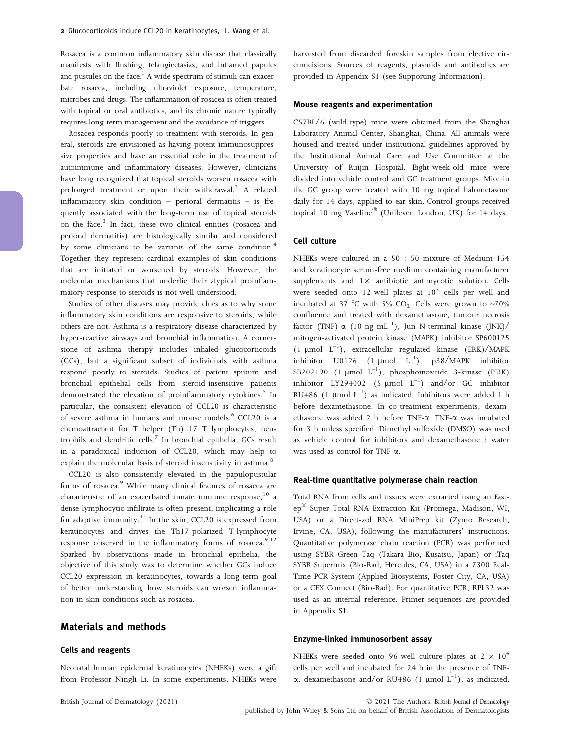Rosacea is a common inflammatory skin disease that classically manifests with flushing, telangiectasias, and inflamed papules and pustules on the face.<sup>1</sup> A wide spectrum of stimuli can exacerbate rosacea, including ultraviolet exposure, temperature, microbes and drugs. The inflammation of rosacea is often treated with topical or oral antibiotics, and its chronic nature typically requires long-term management and the avoidance of triggers.

Rosacea responds poorly to treatment with steroids. In general, steroids are envisioned as having potent immunosuppressive properties and have an essential role in the treatment of autoimmune and inflammatory diseases. However, clinicians have long recognized that topical steroids worsen rosacea with prolonged treatment or upon their withdrawal.<sup>2</sup> A related inflammatory skin condition – perioral dermatitis – is frequently associated with the long-term use of topical steroids on the face.<sup>3</sup> In fact, these two clinical entities (rosacea and perioral dermatitis) are histologically similar and considered by some clinicians to be variants of the same condition.<sup>4</sup> Together they represent cardinal examples of skin conditions that are initiated or worsened by steroids. However, the molecular mechanisms that underlie their atypical proinflammatory response to steroids is not well understood.

Studies of other diseases may provide clues as to why some inflammatory skin conditions are responsive to steroids, while others are not. Asthma is a respiratory disease characterized by hyper-reactive airways and bronchial inflammation. A cornerstone of asthma therapy includes inhaled glucocorticoids (GCs), but a significant subset of individuals with asthma respond poorly to steroids. Studies of patient sputum and bronchial epithelial cells from steroid-insensitive patients demonstrated the elevation of proinflammatory cytokines.<sup>5</sup> In particular, the consistent elevation of CCL20 is characteristic of severe asthma in humans and mouse models.<sup>6</sup> CCL20 is a chemoattractant for T helper (Th) 17 T lymphocytes, neutrophils and dendritic cells. $^7$  In bronchial epithelia, GCs result in a paradoxical induction of CCL20, which may help to explain the molecular basis of steroid insensitivity in asthma.<sup>8</sup>

CCL20 is also consistently elevated in the papulopustular forms of rosacea.<sup>9</sup> While many clinical features of rosacea are characteristic of an exacerbated innate immune response,  $10$  a dense lymphocytic infiltrate is often present, implicating a role for adaptive immunity. $11$  In the skin, CCL20 is expressed from keratinocytes and drives the Th17-polarized T-lymphocyte response observed in the inflammatory forms of rosacea. $9,12$ Sparked by observations made in bronchial epithelia, the objective of this study was to determine whether GCs induce CCL20 expression in keratinocytes, towards a long-term goal of better understanding how steroids can worsen inflammation in skin conditions such as rosacea.

#### Materials and methods

#### Cells and reagents

Neonatal human epidermal keratinocytes (NHEKs) were a gift from Professor Ningli Li. In some experiments, NHEKs were harvested from discarded foreskin samples from elective circumcisions. Sources of reagents, plasmids and antibodies are provided in Appendix S1 (see Supporting Information).

#### Mouse reagents and experimentation

C57BL/6 (wild-type) mice were obtained from the Shanghai Laboratory Animal Center, Shanghai, China. All animals were housed and treated under institutional guidelines approved by the Institutional Animal Care and Use Committee at the University of Ruijin Hospital. Eight-week-old mice were divided into vehicle control and GC treatment groups. Mice in the GC group were treated with 10 mg topical halometasone daily for 14 days, applied to ear skin. Control groups received topical 10 mg Vaseline® (Unilever, London, UK) for 14 days.

#### Cell culture

NHEKs were cultured in a 50 : 50 mixture of Medium 154 and keratinocyte serum-free medium containing manufacturer supplements and  $1\times$  antibiotic antimycotic solution. Cells were seeded onto 12-well plates at  $10<sup>5</sup>$  cells per well and incubated at 37 °C with 5% CO<sub>2</sub>. Cells were grown to ~70% confluence and treated with dexamethasone, tumour necrosis factor (TNF)- $\alpha$  (10 ng mL<sup>-1</sup>), Jun N-terminal kinase (JNK)/ mitogen-activated protein kinase (MAPK) inhibitor SP600125 (1 µmol  $L^{-1}$ ), extracellular regulated kinase (ERK)/MAPK inhibitor U0126 (1  $\mu$ mol L<sup>-1</sup>), p38/MAPK inhibitor SB202190 (1  $\mu$ mol  $L^{-1}$ ), phosphoinositide 3-kinase (PI3K) inhibitor LY294002 (5  $\mu$ mol L<sup>-1</sup>) and/or GC inhibitor RU486 (1  $\mu$ mol L<sup>-1</sup>) as indicated. Inhibitors were added 1 h before dexamethasone. In co-treatment experiments, dexamethasone was added 2 h before TNF-a. TNF-a was incubated for 3 h unless specified. Dimethyl sulfoxide (DMSO) was used as vehicle control for inhibitors and dexamethasone : water was used as control for TNF-a.

#### Real-time quantitative polymerase chain reaction

Total RNA from cells and tissues were extracted using an Eastep<sup>®</sup> Super Total RNA Extraction Kit (Promega, Madison, WI, USA) or a Direct-zol RNA MiniPrep kit (Zymo Research, Irvine, CA, USA), following the manufacturers' instructions. Quantitative polymerase chain reaction (PCR) was performed using SYBR Green Taq (Takara Bio, Kusatsu, Japan) or iTaq SYBR Supermix (Bio-Rad, Hercules, CA, USA) in a 7300 Real-Time PCR System (Applied Biosystems, Foster City, CA, USA) or a CFX Connect (Bio-Rad). For quantitative PCR, RPL32 was used as an internal reference. Primer sequences are provided in Appendix S1.

#### Enzyme-linked immunosorbent assay

NHEKs were seeded onto 96-well culture plates at 2  $\times$  10<sup>4</sup> cells per well and incubated for 24 h in the presence of TNF- $\alpha$ , dexamethasone and/or RU486 (1 µmol L<sup>-1</sup>), as indicated.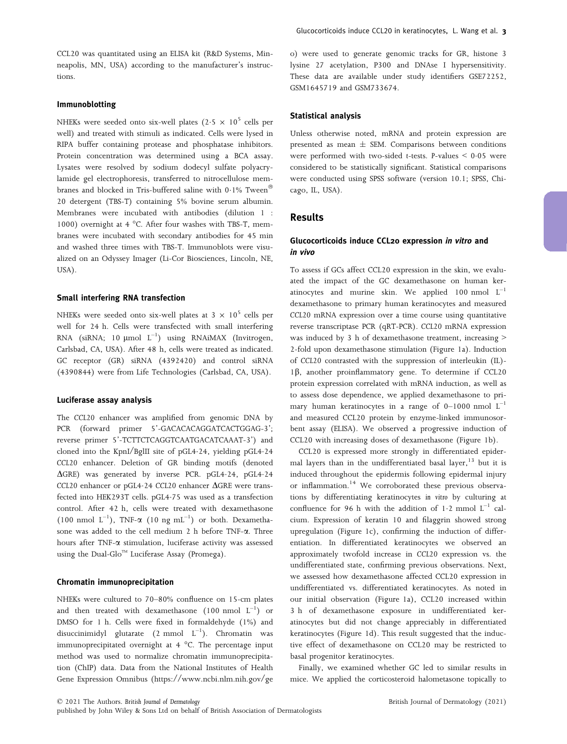CCL20 was quantitated using an ELISA kit (R&D Systems, Minneapolis, MN, USA) according to the manufacturer's instructions.

#### Immunoblotting

NHEKs were seeded onto six-well plates (2.5  $\times$  10<sup>5</sup> cells per well) and treated with stimuli as indicated. Cells were lysed in RIPA buffer containing protease and phosphatase inhibitors. Protein concentration was determined using a BCA assay. Lysates were resolved by sodium dodecyl sulfate polyacrylamide gel electrophoresis, transferred to nitrocellulose membranes and blocked in Tris-buffered saline with  $0.1\%$  Tween<sup>®</sup> 20 detergent (TBS-T) containing 5% bovine serum albumin. Membranes were incubated with antibodies (dilution 1 : 1000) overnight at 4  $^{\circ}$ C. After four washes with TBS-T, membranes were incubated with secondary antibodies for 45 min and washed three times with TBS-T. Immunoblots were visualized on an Odyssey Imager (Li-Cor Biosciences, Lincoln, NE, USA).

#### Small interfering RNA transfection

NHEKs were seeded onto six-well plates at  $3 \times 10^5$  cells per well for 24 h. Cells were transfected with small interfering RNA (siRNA; 10  $\mu$ mol  $L^{-1}$ ) using RNAiMAX (Invitrogen, Carlsbad, CA, USA). After 48 h, cells were treated as indicated. GC receptor (GR) siRNA (4392420) and control siRNA (4390844) were from Life Technologies (Carlsbad, CA, USA).

#### Luciferase assay analysis

The CCL20 enhancer was amplified from genomic DNA by PCR (forward primer 5'-GACACACAGGATCACTGGAG-3'; reverse primer 5'-TCTTCTCAGGTCAATGACATCAAAT-3') and cloned into the KpnI/BglII site of pGL4.24, yielding pGL4.24 CCL20 enhancer. Deletion of GR binding motifs (denoted  $\Delta$ GRE) was generated by inverse PCR. pGL4.24, pGL4.24 CCL20 enhancer or pGL4 $\cdot$ 24 CCL20 enhancer  $\Delta$ GRE were transfected into HEK293T cells. pGL475 was used as a transfection control. After 42 h, cells were treated with dexamethasone (100 nmol  $L^{-1}$ ), TNF- $\alpha$  (10 ng mL<sup>-1</sup>) or both. Dexamethasone was added to the cell medium 2 h before TNF-a. Three hours after TNF- $\alpha$  stimulation, luciferase activity was assessed using the Dual-Glo™ Luciferase Assay (Promega).

#### Chromatin immunoprecipitation

NHEKs were cultured to 70–80% confluence on 15-cm plates and then treated with dexamethasone  $(100 \text{ nmol }\; \text{L}^{-1})$  or DMSO for 1 h. Cells were fixed in formaldehyde (1%) and disuccinimidyl glutarate  $(2 \text{ mmol } L^{-1})$ . Chromatin was immunoprecipitated overnight at 4 °C. The percentage input method was used to normalize chromatin immunoprecipitation (ChIP) data. Data from the National Institutes of Health Gene Expression Omnibus ([https://www.ncbi.nlm.nih.gov/ge](https://www.ncbi.nlm.nih.gov/geo) [o](https://www.ncbi.nlm.nih.gov/geo)) were used to generate genomic tracks for GR, histone 3 lysine 27 acetylation, P300 and DNAse I hypersensitivity. These data are available under study identifiers [GSE72252,](http://www.ncbi.nlm.nih.gov/geo/query/acc.cgi?acc=GSE72252) [GSM1645719](http://www.ncbi.nlm.nih.gov/geo/query/acc.cgi?acc=GSM1645719) and [GSM733674](http://www.ncbi.nlm.nih.gov/geo/query/acc.cgi?acc=GSM733674).

#### Statistical analysis

Unless otherwise noted, mRNA and protein expression are presented as mean  $\pm$  SEM. Comparisons between conditions were performed with two-sided t-tests. P-values  $\leq 0.05$  were considered to be statistically significant. Statistical comparisons were conducted using SPSS software (version 10.1; SPSS, Chicago, IL, USA).

### Results

### Glucocorticoids induce CCL20 expression in vitro and in vivo

To assess if GCs affect CCL20 expression in the skin, we evaluated the impact of the GC dexamethasone on human keratinocytes and murine skin. We applied 100 nmol  $L^{-1}$ dexamethasone to primary human keratinocytes and measured CCL20 mRNA expression over a time course using quantitative reverse transcriptase PCR (qRT-PCR). CCL20 mRNA expression was induced by 3 h of dexamethasone treatment, increasing > 2-fold upon dexamethasone stimulation (Figure 1a). Induction of CCL20 contrasted with the suppression of interleukin (IL)-  $1\beta$ , another proinflammatory gene. To determine if CCL20 protein expression correlated with mRNA induction, as well as to assess dose dependence, we applied dexamethasone to primary human keratinocytes in a range of  $0-1000$  nmol  $L^{-1}$ and measured CCL20 protein by enzyme-linked immunosorbent assay (ELISA). We observed a progressive induction of CCL20 with increasing doses of dexamethasone (Figure 1b).

CCL20 is expressed more strongly in differentiated epidermal layers than in the undifferentiated basal layer, $13$  but it is induced throughout the epidermis following epidermal injury or inflammation.<sup>14</sup> We corroborated these previous observations by differentiating keratinocytes in vitro by culturing at confluence for 96 h with the addition of 1.2 mmol  $L^{-1}$  calcium. Expression of keratin 10 and filaggrin showed strong upregulation (Figure 1c), confirming the induction of differentiation. In differentiated keratinocytes we observed an approximately twofold increase in CCL20 expression vs. the undifferentiated state, confirming previous observations. Next, we assessed how dexamethasone affected CCL20 expression in undifferentiated vs. differentiated keratinocytes. As noted in our initial observation (Figure 1a), CCL20 increased within 3 h of dexamethasone exposure in undifferentiated keratinocytes but did not change appreciably in differentiated keratinocytes (Figure 1d). This result suggested that the inductive effect of dexamethasone on CCL20 may be restricted to basal progenitor keratinocytes.

Finally, we examined whether GC led to similar results in mice. We applied the corticosteroid halometasone topically to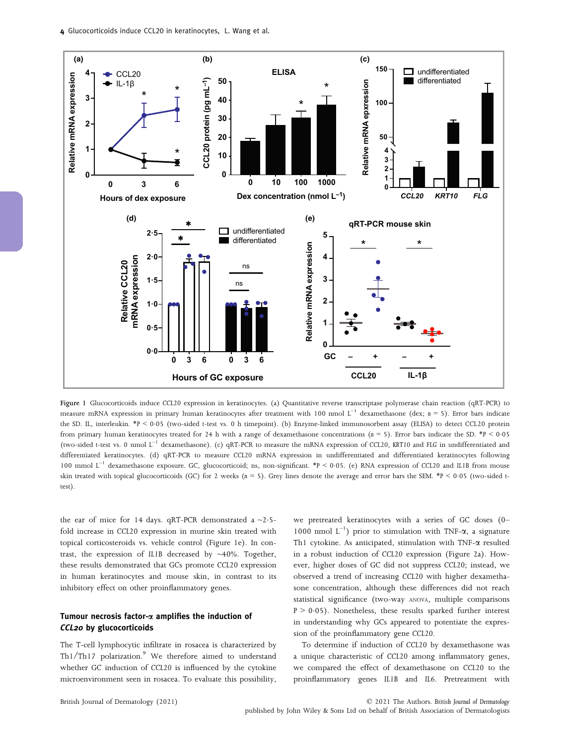

Figure 1 Glucocorticoids induce CCL20 expression in keratinocytes. (a) Quantitative reverse transcriptase polymerase chain reaction (qRT-PCR) to measure mRNA expression in primary human keratinocytes after treatment with 100 nmol  $L^{-1}$  dexamethasone (dex; n = 5). Error bars indicate the SD. IL, interleukin. \*P < 0.05 (two-sided t-test vs. 0 h timepoint). (b) Enzyme-linked immunosorbent assay (ELISA) to detect CCL20 protein from primary human keratinocytes treated for 24 h with a range of dexamethasone concentrations  $(n = 5)$ . Error bars indicate the SD. \*P < 0.05 (two-sided t-test vs. 0 nmol L–<sup>1</sup> dexamethasone). (c) qRT-PCR to measure the mRNA expression of CCL20, KRT10 and FLG in undifferentiated and differentiated keratinocytes. (d) qRT-PCR to measure CCL20 mRNA expression in undifferentiated and differentiated keratinocytes following 100 mmol  $L^{-1}$  dexamethasone exposure. GC, glucocorticoid; ns, non-significant. \*P < 0.05. (e) RNA expression of CCL20 and IL1B from mouse skin treated with topical glucocorticoids (GC) for 2 weeks  $(n = 5)$ . Grey lines denote the average and error bars the SEM. \*P < 0.05 (two-sided ttest).

the ear of mice for 14 days. qRT-PCR demonstrated a  $\sim$ 2.5fold increase in CCL20 expression in murine skin treated with topical corticosteroids vs. vehicle control (Figure 1e). In contrast, the expression of IL1B decreased by  $~40\%$ . Together, these results demonstrated that GCs promote CCL20 expression in human keratinocytes and mouse skin, in contrast to its inhibitory effect on other proinflammatory genes.

### Tumour necrosis factor- $\alpha$  amplifies the induction of CCL20 by glucocorticoids

The T-cell lymphocytic infiltrate in rosacea is characterized by Th1/Th17 polarization.<sup>9</sup> We therefore aimed to understand whether GC induction of CCL20 is influenced by the cytokine microenvironment seen in rosacea. To evaluate this possibility, we pretreated keratinocytes with a series of GC doses (0– 1000 nmol  $L^{-1}$ ) prior to stimulation with TNF- $\alpha$ , a signature Th1 cytokine. As anticipated, stimulation with  $TNF-\alpha$  resulted in a robust induction of CCL20 expression (Figure 2a). However, higher doses of GC did not suppress CCL20; instead, we observed a trend of increasing CCL20 with higher dexamethasone concentration, although these differences did not reach statistical significance (two-way ANOVA, multiple comparisons  $P > 0.05$ ). Nonetheless, these results sparked further interest in understanding why GCs appeared to potentiate the expression of the proinflammatory gene CCL20.

To determine if induction of CCL20 by dexamethasone was a unique characteristic of CCL20 among inflammatory genes, we compared the effect of dexamethasone on CCL20 to the proinflammatory genes IL1B and IL6. Pretreatment with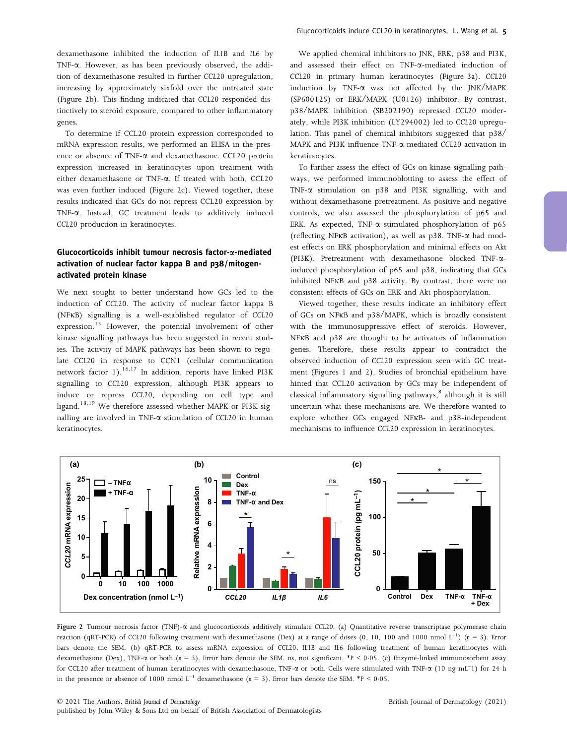dexamethasone inhibited the induction of IL1B and IL6 by TNF-a. However, as has been previously observed, the addition of dexamethasone resulted in further CCL20 upregulation, increasing by approximately sixfold over the untreated state (Figure 2b). This finding indicated that CCL20 responded distinctively to steroid exposure, compared to other inflammatory genes.

To determine if CCL20 protein expression corresponded to mRNA expression results, we performed an ELISA in the presence or absence of TNF- $\alpha$  and dexamethasone. CCL20 protein expression increased in keratinocytes upon treatment with either dexamethasone or TNF-a. If treated with both, CCL20 was even further induced (Figure 2c). Viewed together, these results indicated that GCs do not repress CCL20 expression by TNF-a. Instead, GC treatment leads to additively induced CCL20 production in keratinocytes.

# Glucocorticoids inhibit tumour necrosis factor-a-mediated activation of nuclear factor kappa B and p38/mitogenactivated protein kinase

We next sought to better understand how GCs led to the induction of CCL20. The activity of nuclear factor kappa B (NFKB) signalling is a well-established regulator of CCL20 expression.<sup>15</sup> However, the potential involvement of other kinase signalling pathways has been suggested in recent studies. The activity of MAPK pathways has been shown to regulate CCL20 in response to CCN1 (cellular communication network factor 1).<sup>16,17</sup> In addition, reports have linked PI3K signalling to CCL20 expression, although PI3K appears to induce or repress CCL20, depending on cell type and ligand.18,19 We therefore assessed whether MAPK or PI3K signalling are involved in TNF- $\alpha$  stimulation of CCL20 in human keratinocytes.

We applied chemical inhibitors to JNK, ERK, p38 and PI3K, and assessed their effect on TNF-a-mediated induction of CCL20 in primary human keratinocytes (Figure 3a). CCL20 induction by TNF- $\alpha$  was not affected by the JNK/MAPK (SP600125) or ERK/MAPK (U0126) inhibitor. By contrast, p38/MAPK inhibition (SB202190) repressed CCL20 moderately, while PI3K inhibition (LY294002) led to CCL20 upregulation. This panel of chemical inhibitors suggested that p38/ MAPK and PI3K influence TNF-a-mediated CCL20 activation in keratinocytes.

To further assess the effect of GCs on kinase signalling pathways, we performed immunoblotting to assess the effect of TNF-a stimulation on p38 and PI3K signalling, with and without dexamethasone pretreatment. As positive and negative controls, we also assessed the phosphorylation of p65 and ERK. As expected, TNF- $\alpha$  stimulated phosphorylation of p65 (reflecting NFKB activation), as well as p38. TNF- $\alpha$  had modest effects on ERK phosphorylation and minimal effects on Akt (PI3K). Pretreatment with dexamethasone blocked TNF-ainduced phosphorylation of p65 and p38, indicating that GCs inhibited NFKB and p38 activity. By contrast, there were no consistent effects of GCs on ERK and Akt phosphorylation.

Viewed together, these results indicate an inhibitory effect of GCs on NFKB and p38/MAPK, which is broadly consistent with the immunosuppressive effect of steroids. However, NFKB and p38 are thought to be activators of inflammation genes. Therefore, these results appear to contradict the observed induction of CCL20 expression seen with GC treatment (Figures 1 and 2). Studies of bronchial epithelium have hinted that CCL20 activation by GCs may be independent of classical inflammatory signalling pathways,<sup>8</sup> although it is still uncertain what these mechanisms are. We therefore wanted to explore whether GCs engaged NFKB- and p38-independent mechanisms to influence CCL20 expression in keratinocytes.



Figure 2 Tumour necrosis factor (TNF)- $\alpha$  and glucocorticoids additively stimulate CCL20. (a) Quantitative reverse transcriptase polymerase chain reaction (qRT-PCR) of CCL20 following treatment with dexamethasone (Dex) at a range of doses (0, 10, 100 and 1000 nmol  $L^{-1}$ ) (n = 3). Error bars denote the SEM. (b) qRT-PCR to assess mRNA expression of CCL20, IL1B and IL6 following treatment of human keratinocytes with dexamethasone (Dex), TNF- $\alpha$  or both (n = 3). Error bars denote the SEM. ns, not significant. \*P < 0.05. (c) Enzyme-linked immunosorbent assay for CCL20 after treatment of human keratinocytes with dexamethasone, TNF- $\alpha$  or both. Cells were stimulated with TNF- $\alpha$  (10 ng mL<sup>-1</sup>) for 24 h in the presence or absence of 1000 nmol  $L^{-1}$  dexamethasone (n = 3). Error bars denote the SEM. \*P < 0.05.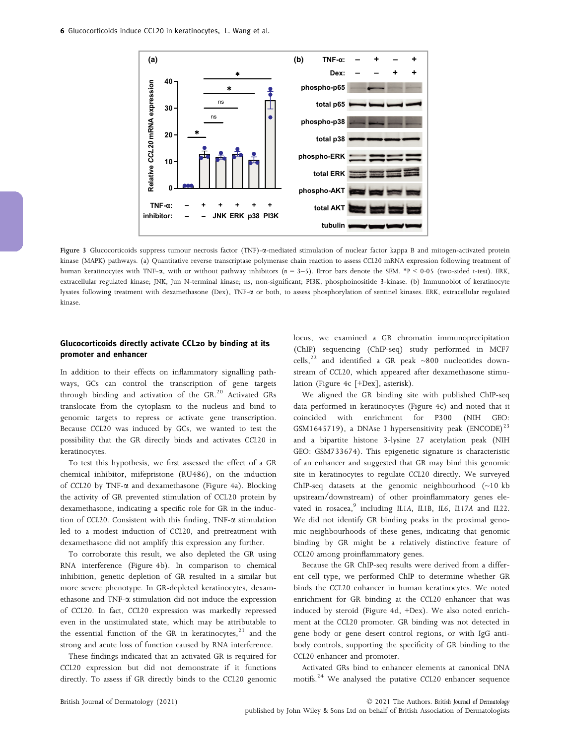

Figure 3 Glucocorticoids suppress tumour necrosis factor (TNF)- $\alpha$ -mediated stimulation of nuclear factor kappa B and mitogen-activated protein kinase (MAPK) pathways. (a) Quantitative reverse transcriptase polymerase chain reaction to assess CCL20 mRNA expression following treatment of human keratinocytes with TNF- $\alpha$ , with or without pathway inhibitors (n = 3-5). Error bars denote the SEM. \*P < 0.05 (two-sided t-test). ERK, extracellular regulated kinase; JNK, Jun N-terminal kinase; ns, non-significant; PI3K, phosphoinositide 3-kinase. (b) Immunoblot of keratinocyte lysates following treatment with dexamethasone (Dex), TNF-a or both, to assess phosphorylation of sentinel kinases. ERK, extracellular regulated kinase.

# Glucocorticoids directly activate CCL20 by binding at its promoter and enhancer

In addition to their effects on inflammatory signalling pathways, GCs can control the transcription of gene targets through binding and activation of the  $GR$ .<sup>20</sup> Activated  $GRs$ translocate from the cytoplasm to the nucleus and bind to genomic targets to repress or activate gene transcription. Because CCL20 was induced by GCs, we wanted to test the possibility that the GR directly binds and activates CCL20 in keratinocytes.

To test this hypothesis, we first assessed the effect of a GR chemical inhibitor, mifepristone (RU486), on the induction of CCL20 by TNF-a and dexamethasone (Figure 4a). Blocking the activity of GR prevented stimulation of CCL20 protein by dexamethasone, indicating a specific role for GR in the induction of CCL20. Consistent with this finding, TNF- $\alpha$  stimulation led to a modest induction of CCL20, and pretreatment with dexamethasone did not amplify this expression any further.

To corroborate this result, we also depleted the GR using RNA interference (Figure 4b). In comparison to chemical inhibition, genetic depletion of GR resulted in a similar but more severe phenotype. In GR-depleted keratinocytes, dexamethasone and TNF- $\alpha$  stimulation did not induce the expression of CCL20. In fact, CCL20 expression was markedly repressed even in the unstimulated state, which may be attributable to the essential function of the GR in keratinocytes, $21$  and the strong and acute loss of function caused by RNA interference.

These findings indicated that an activated GR is required for CCL20 expression but did not demonstrate if it functions directly. To assess if GR directly binds to the CCL20 genomic locus, we examined a GR chromatin immunoprecipitation (ChIP) sequencing (ChIP-seq) study performed in MCF7 cells,<sup>22</sup> and identified a GR peak  $\sim$ 800 nucleotides downstream of CCL20, which appeared after dexamethasone stimulation (Figure 4c [+Dex], asterisk).

We aligned the GR binding site with published ChIP-seq data performed in keratinocytes (Figure 4c) and noted that it coincided with enrichment for P300 (NIH GEO: GSM1645719), a DNAse I hypersensitivity peak  $(ENCODE)^{23}$ and a bipartite histone 3-lysine 27 acetylation peak (NIH GEO: GSM733674). This epigenetic signature is characteristic of an enhancer and suggested that GR may bind this genomic site in keratinocytes to regulate CCL20 directly. We surveyed ChIP-seq datasets at the genomic neighbourhood (~10 kb upstream/downstream) of other proinflammatory genes elevated in rosacea,<sup>9</sup> including IL1A, IL1B, IL6, IL17A and IL22. We did not identify GR binding peaks in the proximal genomic neighbourhoods of these genes, indicating that genomic binding by GR might be a relatively distinctive feature of CCL20 among proinflammatory genes.

Because the GR ChIP-seq results were derived from a different cell type, we performed ChIP to determine whether GR binds the CCL20 enhancer in human keratinocytes. We noted enrichment for GR binding at the CCL20 enhancer that was induced by steroid (Figure 4d, +Dex). We also noted enrichment at the CCL20 promoter. GR binding was not detected in gene body or gene desert control regions, or with IgG antibody controls, supporting the specificity of GR binding to the CCL20 enhancer and promoter.

Activated GRs bind to enhancer elements at canonical DNA motifs.24 We analysed the putative CCL20 enhancer sequence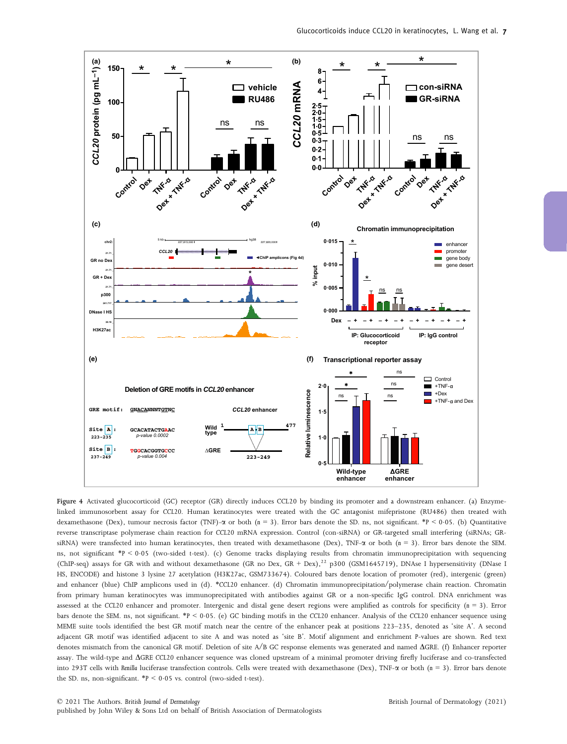

Figure 4 Activated glucocorticoid (GC) receptor (GR) directly induces CCL20 by binding its promoter and a downstream enhancer. (a) Enzymelinked immunosorbent assay for CCL20. Human keratinocytes were treated with the GC antagonist mifepristone (RU486) then treated with dexamethasone (Dex), tumour necrosis factor (TNF)- $\alpha$  or both (n = 3). Error bars denote the SD. ns, not significant. \*P < 0.05. (b) Quantitative reverse transcriptase polymerase chain reaction for CCL20 mRNA expression. Control (con-siRNA) or GR-targeted small interfering (siRNAs; GRsiRNA) were transfected into human keratinocytes, then treated with dexamethasone (Dex), TNF- $\alpha$  or both (n = 3). Error bars denote the SEM. ns, not significant \*P < 005 (two-sided t-test). (c) Genome tracks displaying results from chromatin immunoprecipitation with sequencing (ChIP-seq) assays for GR with and without dexamethasone (GR no Dex, GR + Dex),<sup>22</sup> p300 (GSM1645719), DNAse I hypersensitivity (DNase I HS, ENCODE) and histone 3 lysine 27 acetylation (H3K27ac, GSM733674). Coloured bars denote location of promoter (red), intergenic (green) and enhancer (blue) ChIP amplicons used in (d). \*CCL20 enhancer. (d) Chromatin immunoprecipitation/polymerase chain reaction. Chromatin from primary human keratinocytes was immunoprecipitated with antibodies against GR or a non-specific IgG control. DNA enrichment was assessed at the CCL20 enhancer and promoter. Intergenic and distal gene desert regions were amplified as controls for specificity (n = 3). Error bars denote the SEM. ns, not significant. \*P < 005. (e) GC binding motifs in the CCL20 enhancer. Analysis of the CCL20 enhancer sequence using MEME suite tools identified the best GR motif match near the centre of the enhancer peak at positions 223–235, denoted as 'site A'. A second adjacent GR motif was identified adjacent to site A and was noted as 'site B'. Motif alignment and enrichment P-values are shown. Red text denotes mismatch from the canonical GR motif. Deletion of site A/B GC response elements was generated and named  $\Delta$ GRE. (f) Enhancer reporter assay. The wild-type and DGRE CCL20 enhancer sequence was cloned upstream of a minimal promoter driving firefly luciferase and co-transfected into 293T cells with Renilla luciferase transfection controls. Cells were treated with dexamethasone (Dex), TNF-a or both (n = 3). Error bars denote the SD. ns, non-significant.  $*P < 0.05$  vs. control (two-sided t-test).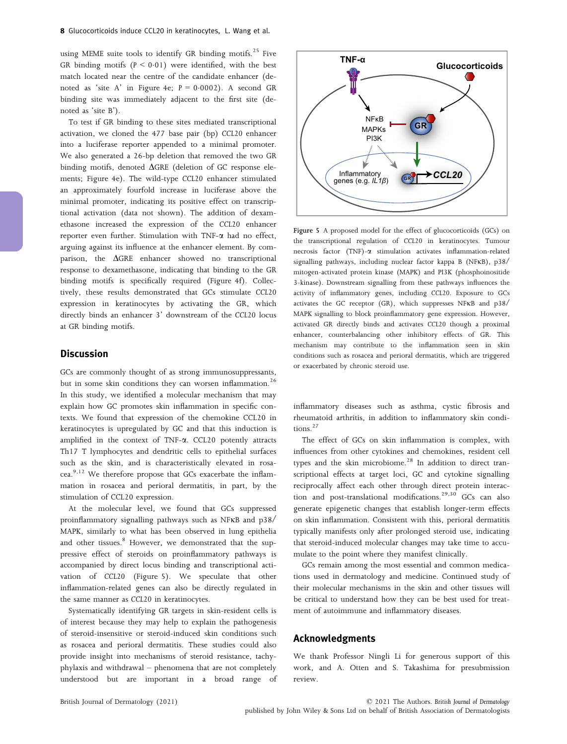using MEME suite tools to identify GR binding motifs.<sup>25</sup> Five GR binding motifs ( $P < 0.01$ ) were identified, with the best match located near the centre of the candidate enhancer (denoted as 'site A' in Figure 4e;  $P = 0.0002$ ). A second GR binding site was immediately adjacent to the first site (denoted as 'site B').

To test if GR binding to these sites mediated transcriptional activation, we cloned the 477 base pair (bp) CCL20 enhancer into a luciferase reporter appended to a minimal promoter. We also generated a 26-bp deletion that removed the two GR binding motifs, denoted  $\Delta$ GRE (deletion of GC response elements; Figure 4e). The wild-type CCL20 enhancer stimulated an approximately fourfold increase in luciferase above the minimal promoter, indicating its positive effect on transcriptional activation (data not shown). The addition of dexamethasone increased the expression of the CCL20 enhancer reporter even further. Stimulation with TNF-a had no effect, arguing against its influence at the enhancer element. By comparison, the  $\Delta$ GRE enhancer showed no transcriptional response to dexamethasone, indicating that binding to the GR binding motifs is specifically required (Figure 4f). Collectively, these results demonstrated that GCs stimulate CCL20 expression in keratinocytes by activating the GR, which directly binds an enhancer 3' downstream of the CCL20 locus at GR binding motifs.

#### **Discussion**

GCs are commonly thought of as strong immunosuppressants, but in some skin conditions they can worsen inflammation.<sup>26</sup> In this study, we identified a molecular mechanism that may explain how GC promotes skin inflammation in specific contexts. We found that expression of the chemokine CCL20 in keratinocytes is upregulated by GC and that this induction is amplified in the context of TNF-a. CCL20 potently attracts Th17 T lymphocytes and dendritic cells to epithelial surfaces such as the skin, and is characteristically elevated in rosacea.<sup>9,12</sup> We therefore propose that GCs exacerbate the inflammation in rosacea and perioral dermatitis, in part, by the stimulation of CCL20 expression.

At the molecular level, we found that GCs suppressed proinflammatory signalling pathways such as NFKB and p38/ MAPK, similarly to what has been observed in lung epithelia and other tissues.<sup>8</sup> However, we demonstrated that the suppressive effect of steroids on proinflammatory pathways is accompanied by direct locus binding and transcriptional activation of CCL20 (Figure 5). We speculate that other inflammation-related genes can also be directly regulated in the same manner as CCL20 in keratinocytes.

Systematically identifying GR targets in skin-resident cells is of interest because they may help to explain the pathogenesis of steroid-insensitive or steroid-induced skin conditions such as rosacea and perioral dermatitis. These studies could also provide insight into mechanisms of steroid resistance, tachyphylaxis and withdrawal – phenomena that are not completely understood but are important in a broad range of



Figure 5 A proposed model for the effect of glucocorticoids (GCs) on the transcriptional regulation of CCL20 in keratinocytes. Tumour necrosis factor (TNF)-a stimulation activates inflammation-related signalling pathways, including nuclear factor kappa B (NFKB), p38/ mitogen-activated protein kinase (MAPK) and PI3K (phosphoinositide 3-kinase). Downstream signalling from these pathways influences the activity of inflammatory genes, including CCL20. Exposure to GCs activates the GC receptor (GR), which suppresses NFKB and  $p38/$ MAPK signalling to block proinflammatory gene expression. However, activated GR directly binds and activates CCL20 though a proximal enhancer, counterbalancing other inhibitory effects of GR. This mechanism may contribute to the inflammation seen in skin conditions such as rosacea and perioral dermatitis, which are triggered or exacerbated by chronic steroid use.

inflammatory diseases such as asthma, cystic fibrosis and rheumatoid arthritis, in addition to inflammatory skin conditions.<sup>27</sup>

The effect of GCs on skin inflammation is complex, with influences from other cytokines and chemokines, resident cell types and the skin microbiome.<sup>28</sup> In addition to direct transcriptional effects at target loci, GC and cytokine signalling reciprocally affect each other through direct protein interaction and post-translational modifications.29,30 GCs can also generate epigenetic changes that establish longer-term effects on skin inflammation. Consistent with this, perioral dermatitis typically manifests only after prolonged steroid use, indicating that steroid-induced molecular changes may take time to accumulate to the point where they manifest clinically.

GCs remain among the most essential and common medications used in dermatology and medicine. Continued study of their molecular mechanisms in the skin and other tissues will be critical to understand how they can be best used for treatment of autoimmune and inflammatory diseases.

# Acknowledgments

We thank Professor Ningli Li for generous support of this work, and A. Otten and S. Takashima for presubmission review.